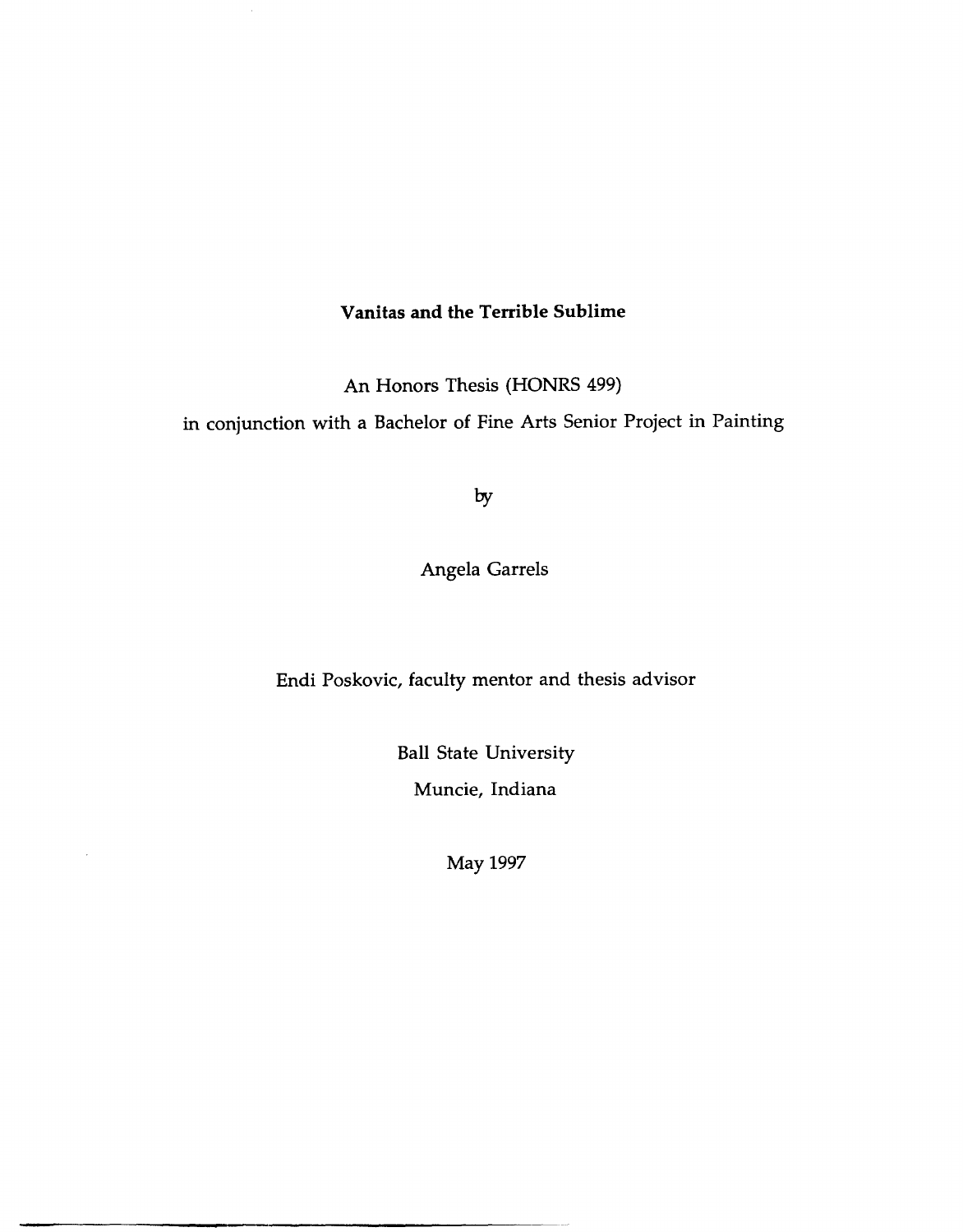#### **Vanitas and the Terrible Sublime**

An Honors Thesis (HONRS 499)

in conjunction with a Bachelor of Fine Arts Senior Project in Painting

by

Angela Garrels

Endi Poskovic, faculty mentor and thesis advisor

Ball State University Muncie, Indiana

May 1997

 $\bar{z}$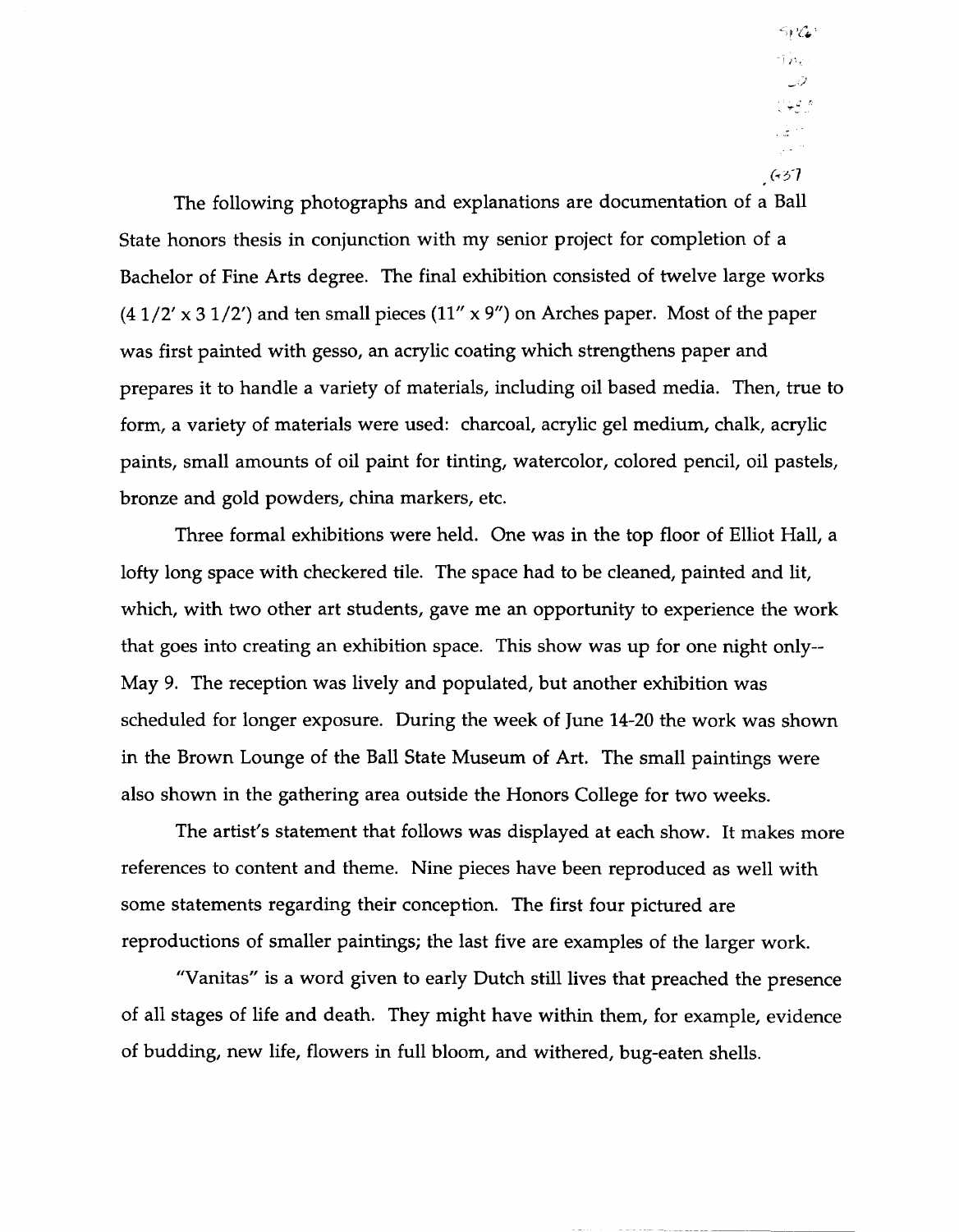$5PC$ n Paris ه چې پ  $\frac{1}{2}$ مار<br>مارچ  $(537)$ 

The following photographs and explanations are documentation of a Ball State honors thesis in conjunction with my senior project for completion of a Bachelor of Fine Arts degree. The final exhibition consisted of twelve large works  $(41/2' \times 31/2')$  and ten small pieces  $(11'' \times 9'')$  on Arches paper. Most of the paper was first painted with gesso, an acrylic coating which strengthens paper and prepares it to handle a variety of materials, including oil based media. Then, true to form, a variety of materials were used: charcoal, acrylic gel medium, chalk, acrylic paints, small amounts of oil paint for tinting, watercolor, colored pencil, oil pastels, bronze and gold powders, china markers, etc.

Three formal exhibitions were held. One was in the top floor of Elliot Hall, a lofty long space with checkered tile. The space had to be cleaned, painted and lit, which, with two other art students, gave me an opportunity to experience the work that goes into creating an exhibition space. This show was up for one night only-- May 9. The reception was lively and populated, but another exhibition was scheduled for longer exposure. During the week of June 14-20 the work was shown in the Brown Lounge of the Ball State Museum of Art. The small paintings were also shown in the gathering area outside the Honors College for two weeks.

The artist's statement that follows was displayed at each show. It makes more references to content and theme. Nine pieces have been reproduced as well with some statements regarding their conception. The first four pictured are reproductions of smaller paintings; the last five are examples of the larger work.

"Vanitas" is a word given to early Dutch still lives that preached the presence of all stages of life and death. They might have within them, for example, evidence of budding, new life, flowers in full bloom, and withered, bug-eaten shells.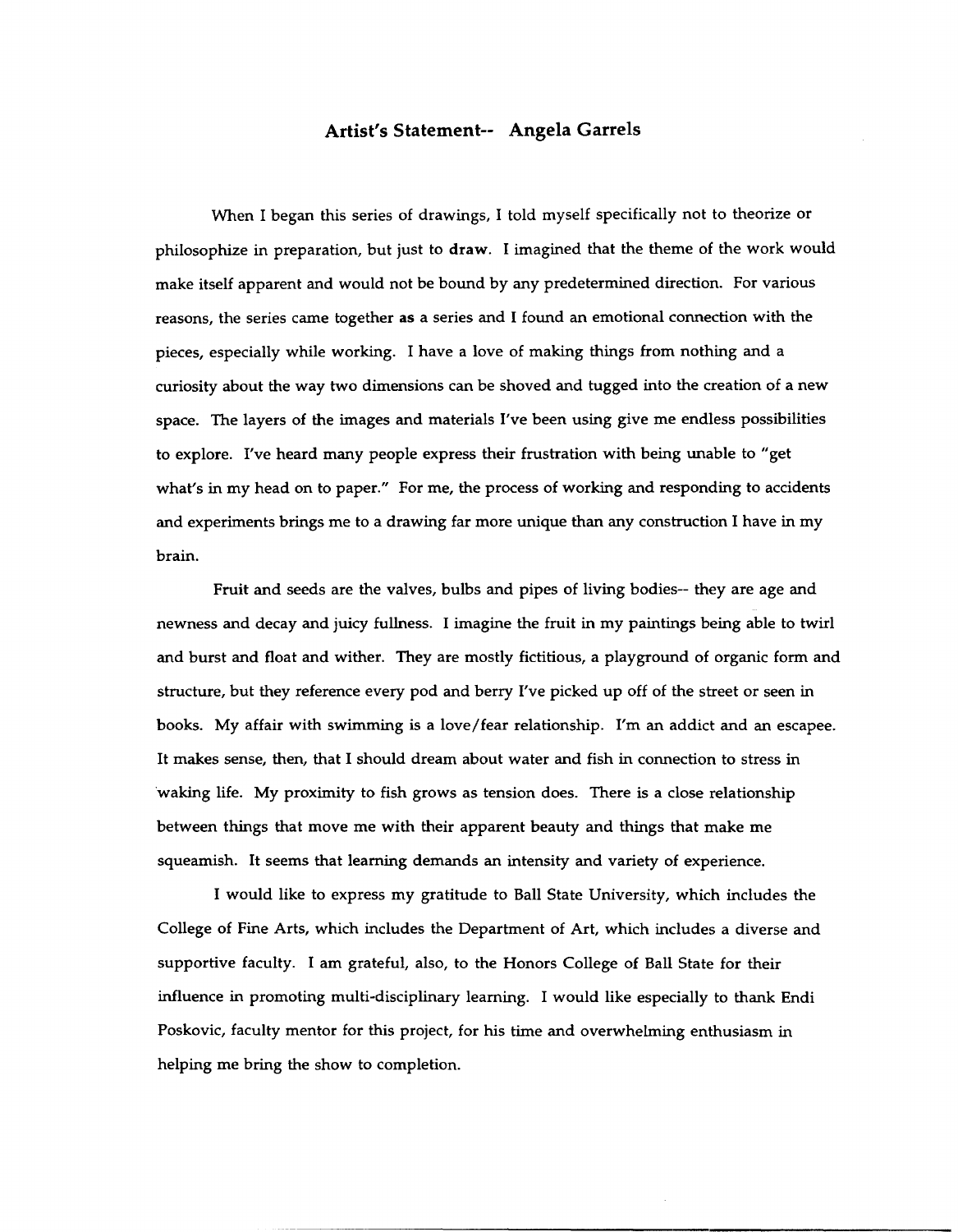#### **Artist's Statement-- Angela Garrels**

When I began this series of drawings, I told myself specifically not to theorize or philosophize in preparation, but just to draw. I imagined that the theme of the work would make itself apparent and would not be bound by any predetermined direction. For various reasons, the series came together as a series and I found an emotional connection with the pieces, especially while working. I have a love of making things from nothing and a curiosity about the way two dimensions can be shoved and tugged into the creation of a new space. The layers of the images and materials I've been using give me endless possibilities to explore. I've heard many people express their frustration with being unable to "get what's in my head on to paper." For me, the process of working and responding to accidents and experiments brings me to a drawing far more unique than any construction I have in my brain.

Fruit and seeds are the valves, bulbs and pipes of living bodies-- they are age and newness and decay and juicy fullness. I imagine the fruit in my paintings being able to twirl and burst and float and wither. They are mostly fictitious, a playground of organic form and structure, but they reference every pod and berry I've picked up off of the street or seen in books. My affair with swimming is a love/fear relationship. I'm an addict and an escapee. It makes sense, then, that I should dream about water and fish in connection to stress in 'waking life. My proximity to fish grows as tension does. There is a close relationship between things that move me with their apparent beauty and things that make me squeamish. It seems that learning demands an intensity and variety of experience.

I would like to express my gratitude to Ball State University, which includes the College of Fine Arts, which includes the Department of Art, which includes a diverse and supportive faculty. I am grateful, also, to the Honors College of Ball State for their influence in promoting multi-disciplinary learning. I would like especially to thank Endi Poskovic, faculty mentor for this project, for his time and overwhelming enthusiasm in helping me bring the show to completion.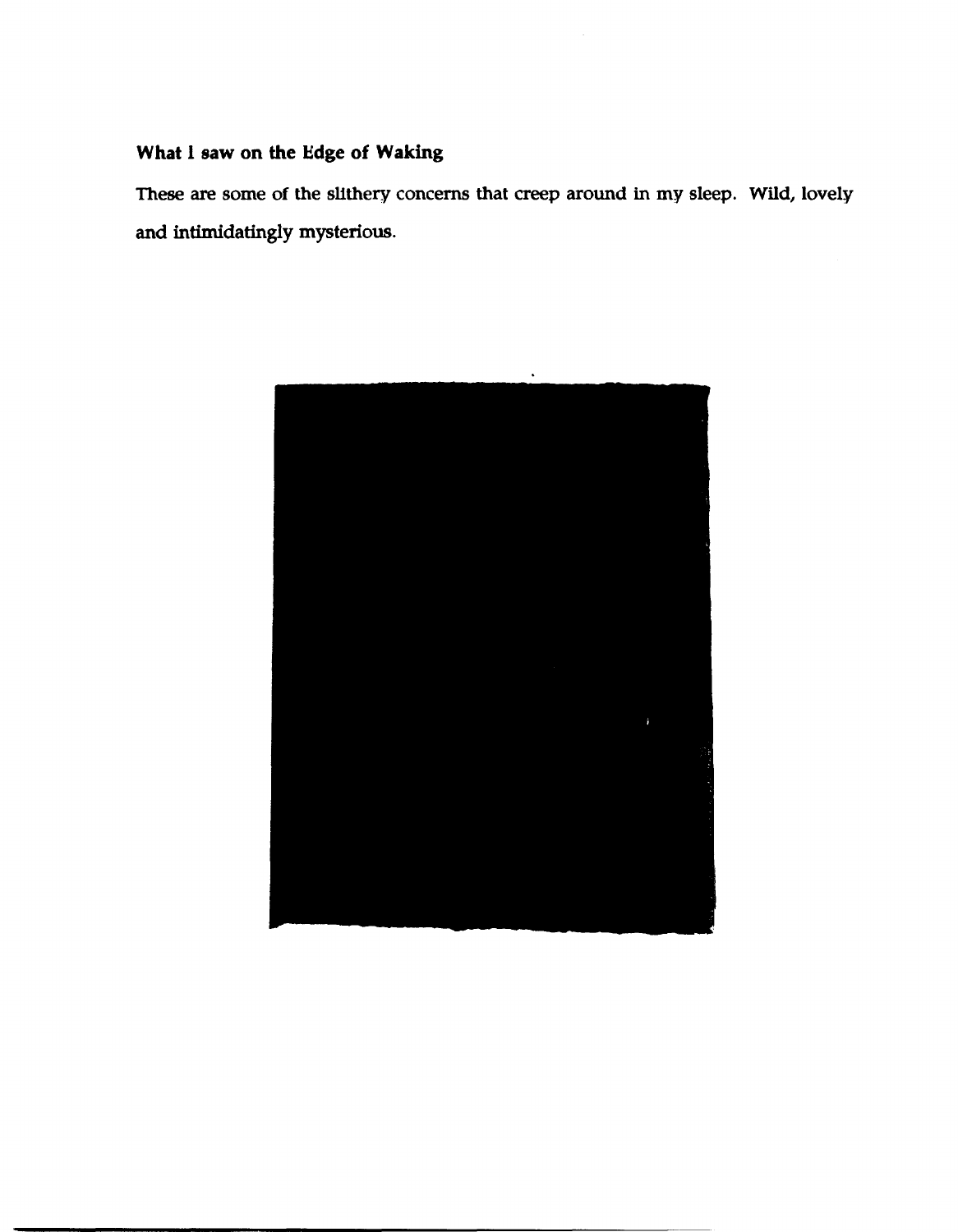## What I saw on the Edge of Waking

These are some of the slithery concerns that creep around in my sleep. Wild, lovely and intimidatingly mysterious.

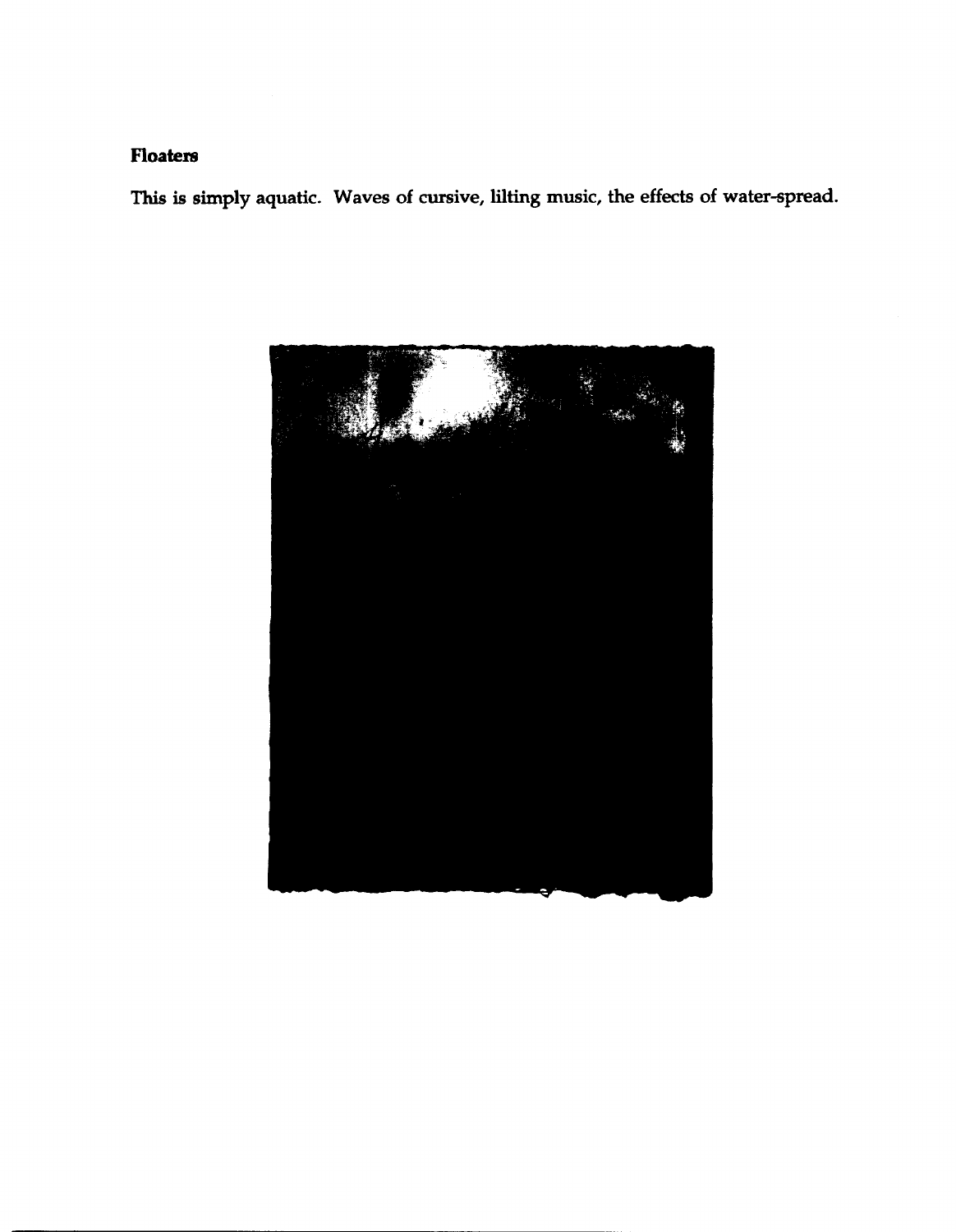### **Floaters**

This is simply aquatic. Waves of cursive, lilting music, the effects of water-spread.

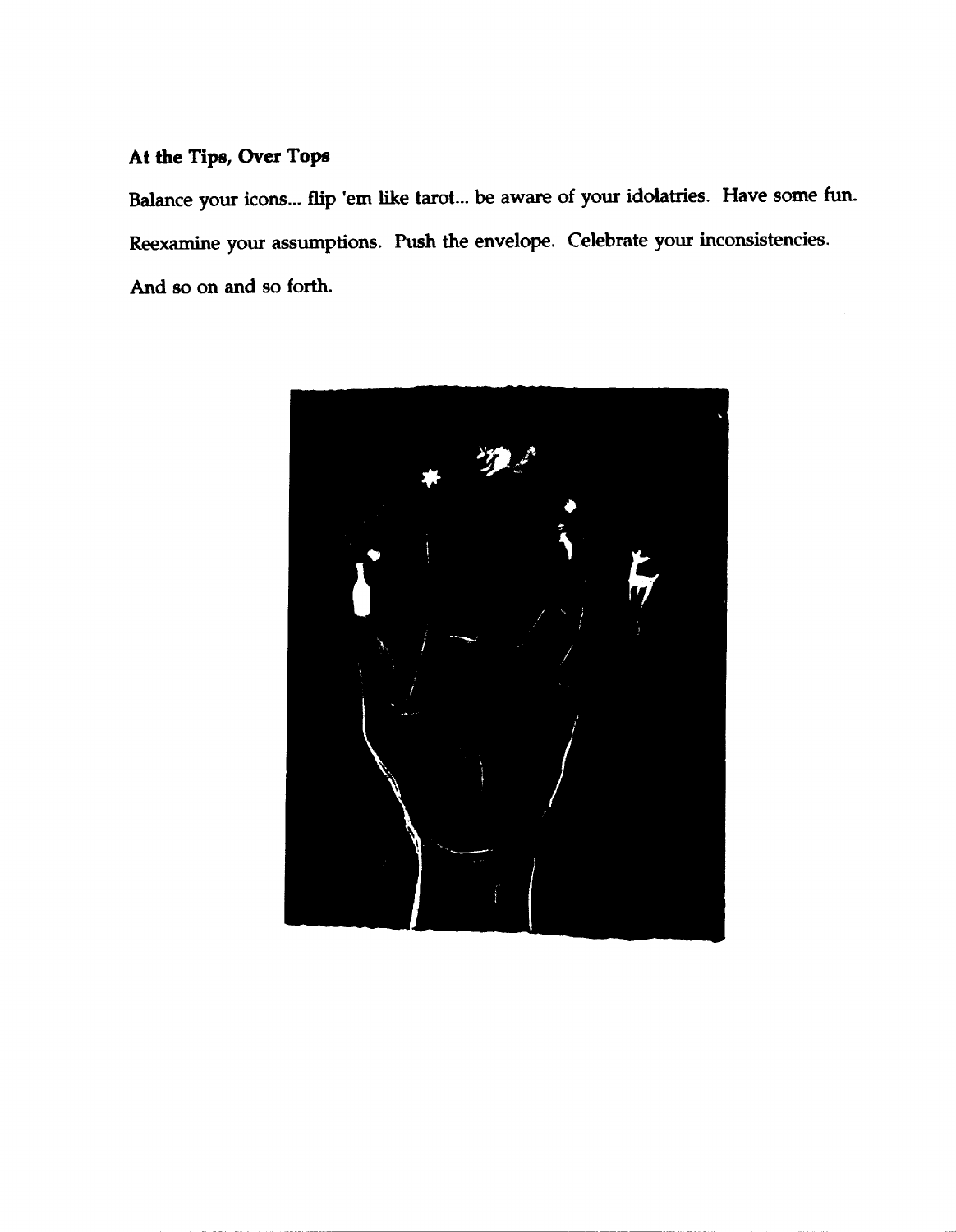#### **At the Tips, Over Tops**

Balance your icons... flip 'em like tarot... be aware of your idolatries. Have some fun. Reexamine your assumptions. Push the envelope. Celebrate your inconsistencies. And so on and 80 forth.

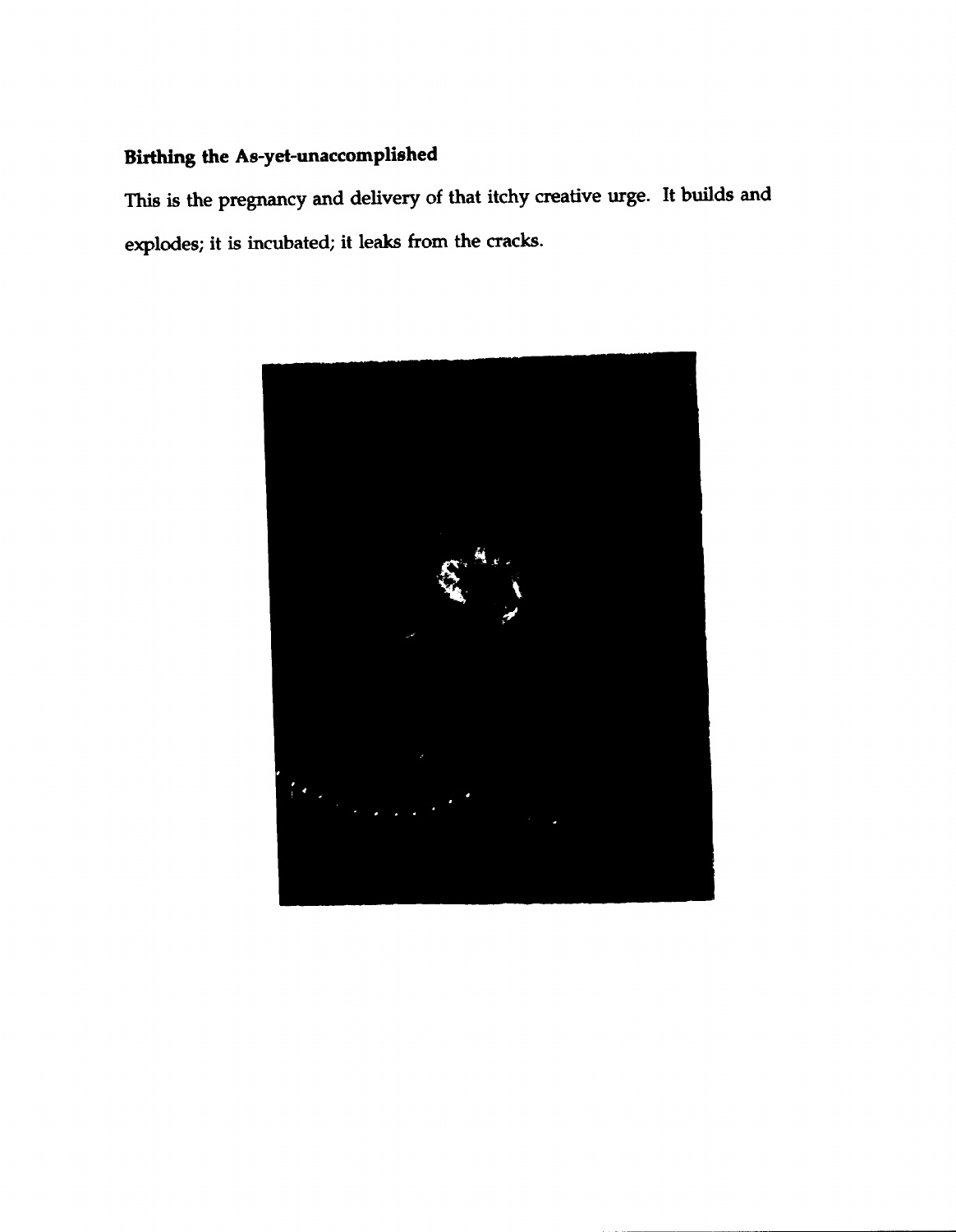# Birthing the As-yel-unaccomplished

This is the pregnancy and delivery of that itchy creative urge. It builds and explodes; it is incubated; it leaks from the cracks.

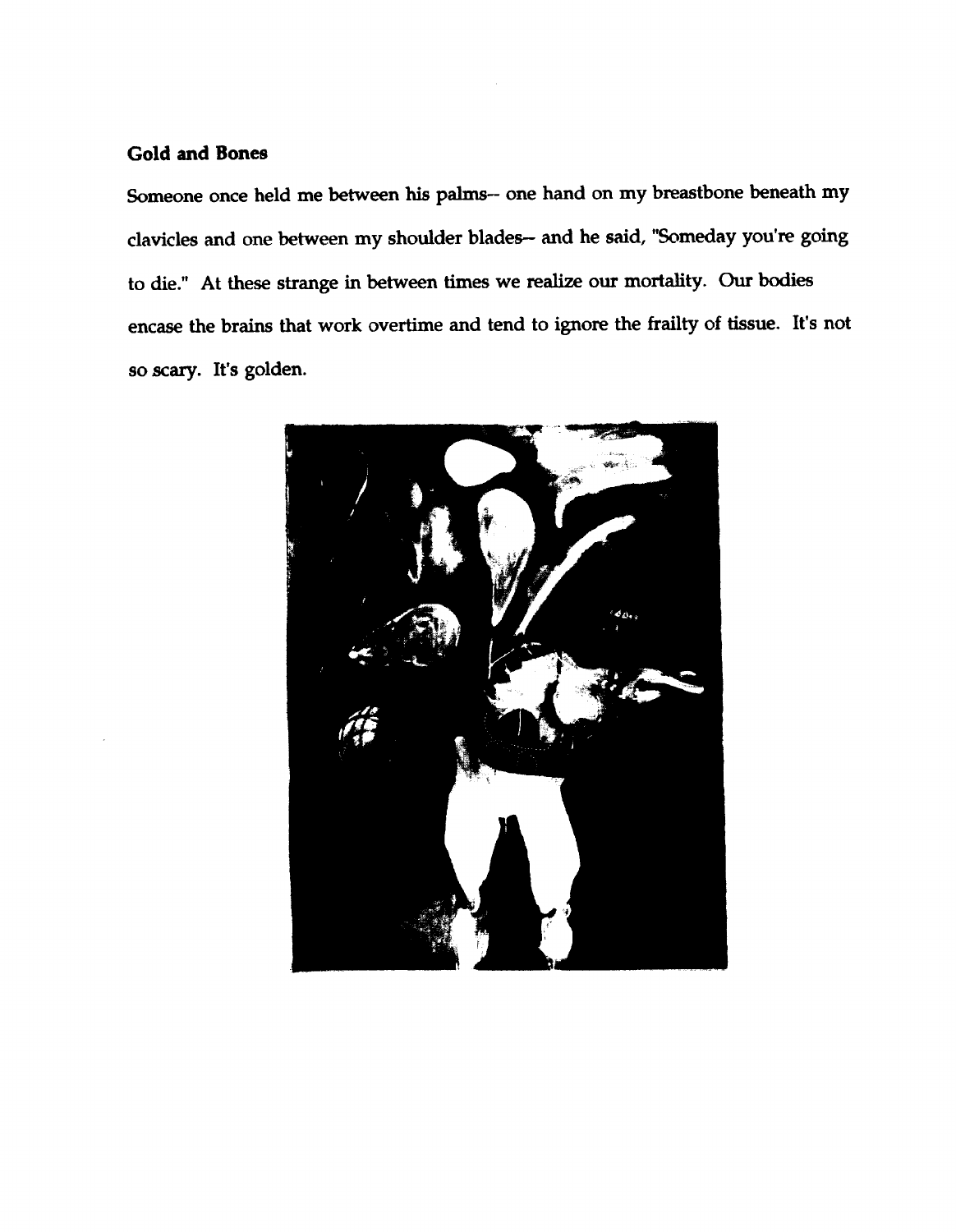#### **Gold and Bones**

Someone once held me between his palms- one hand on my breastbone beneath my clavicles and one between my shoulder blades- and he said, "Someday you're going to die." At these strange in between times we realize our mortality. Our bodies encase the brains that work overtime and tend to ignore the frailty of tissue. It's not so scary. It's golden.

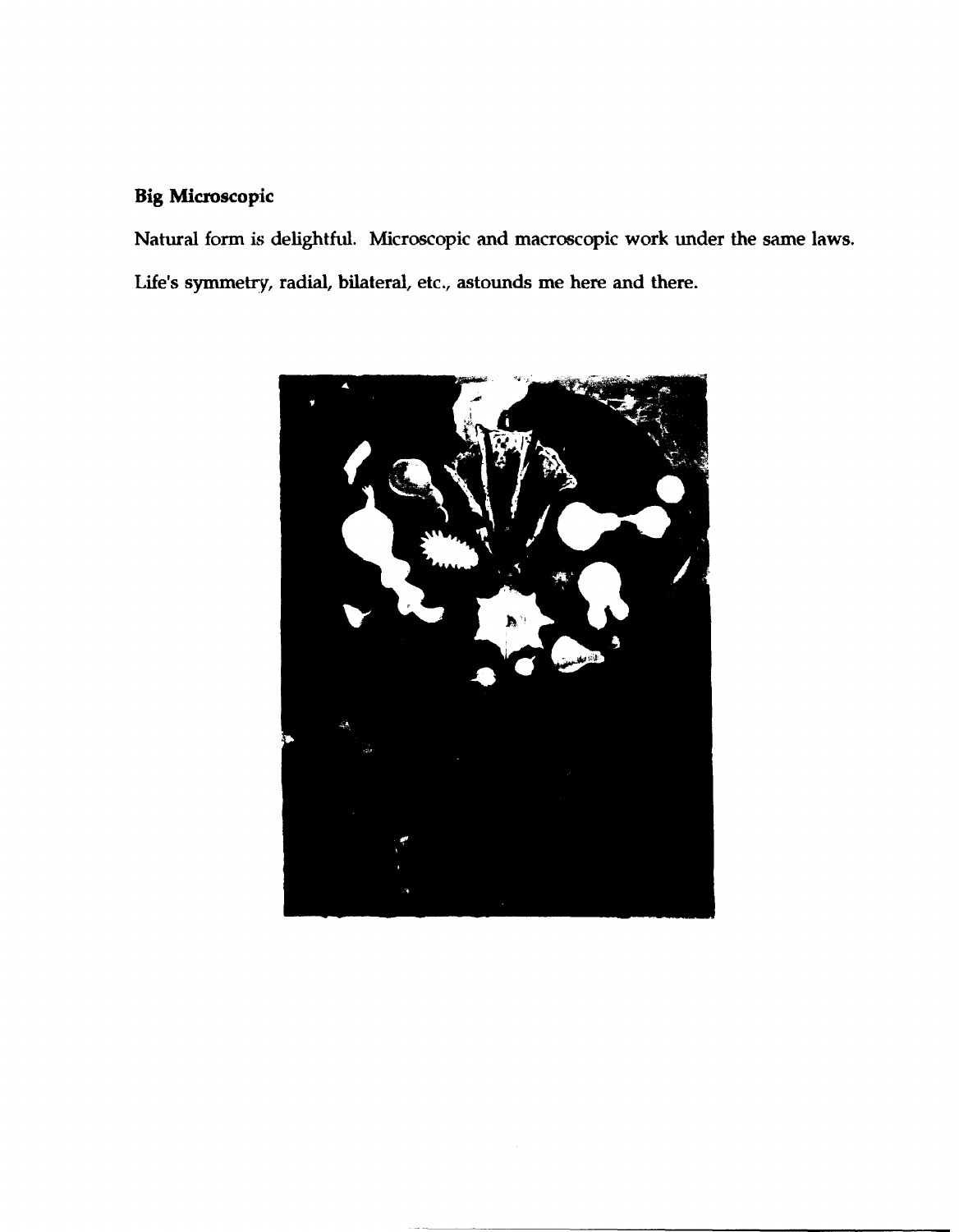### **Big Microscopic**

Natural form is delightful. Microscopic and macroscopic work under the same laws. Life's symmetry, radial, bilateral, etc., astounds me here and there.

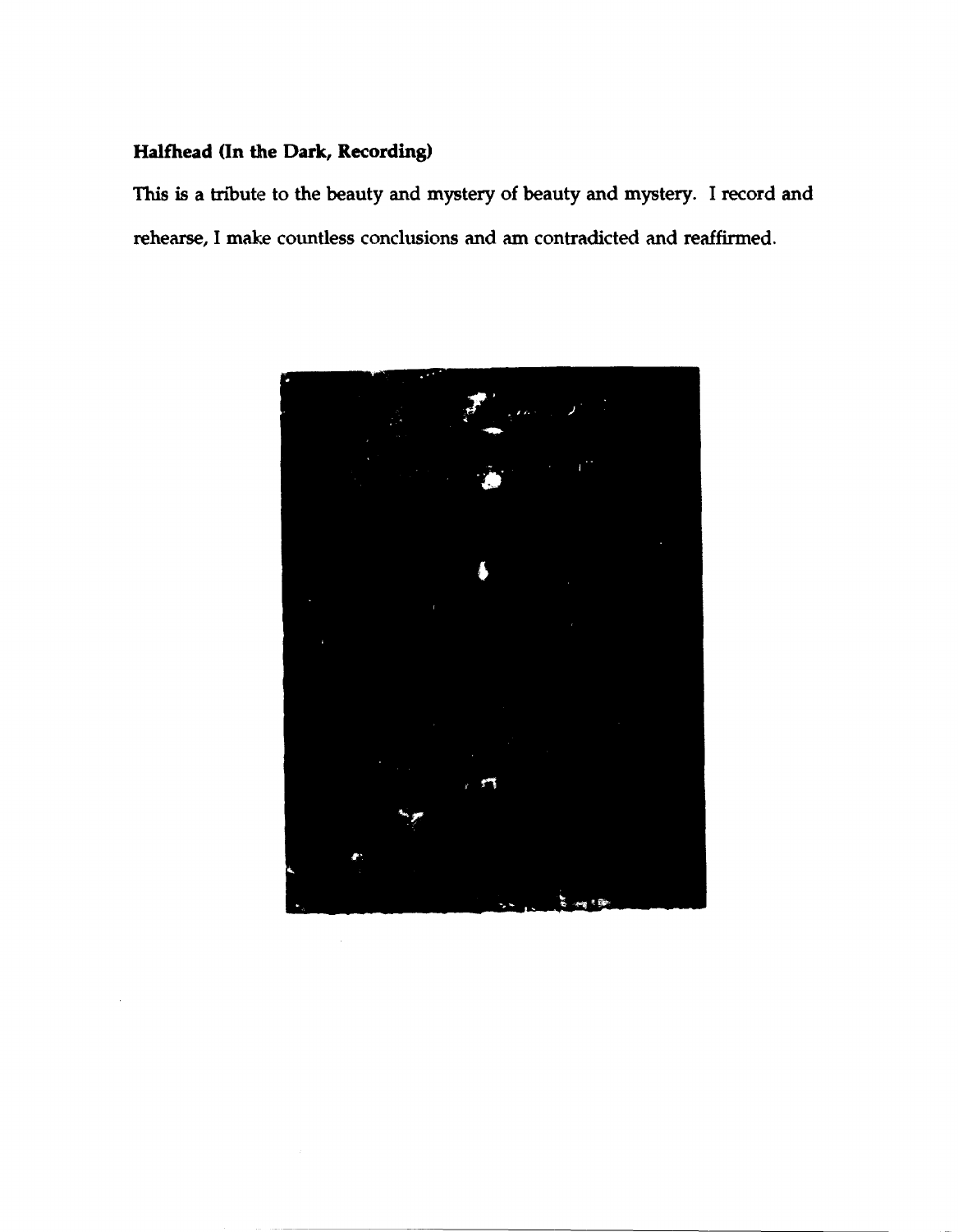#### Halfhead (In the Dark, Recording)

This is a tribute to the beauty and mystery of beauty and mystery. I record and rehearse, I make countless conclusions and am contradicted and reaffirmed.

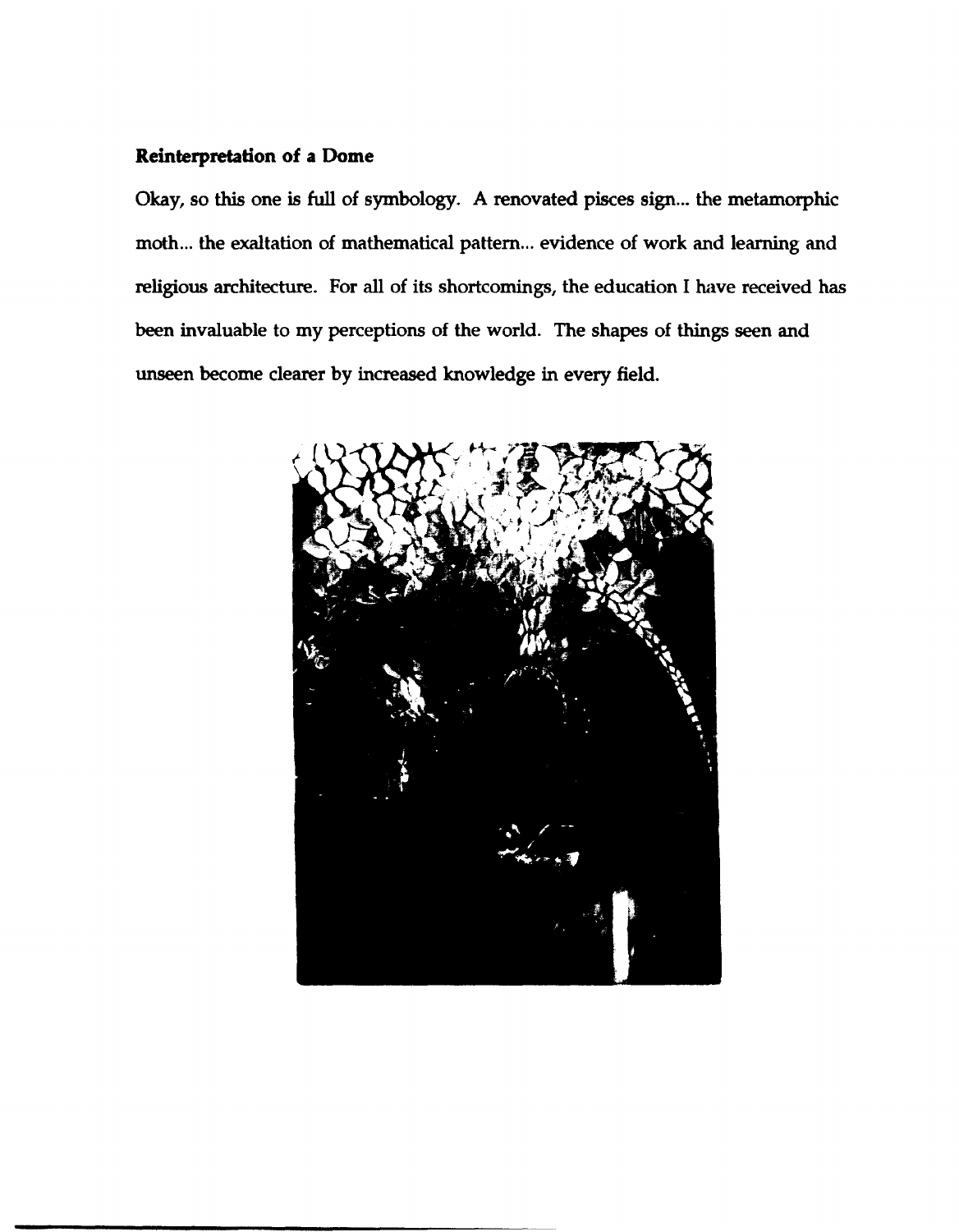#### **Reinterpretation of a Dome**

Okay, so this one is full of symbology. A renovated pisces sign... the metamorphic moth... the exaltation of mathematical pattern... evidence of work and learning and religious architecture. For all of its shortcomings, the education I have received has been invaluable to my perceptions of the world. The shapes of things seen and unseen become clearer by increased knowledge in every field.